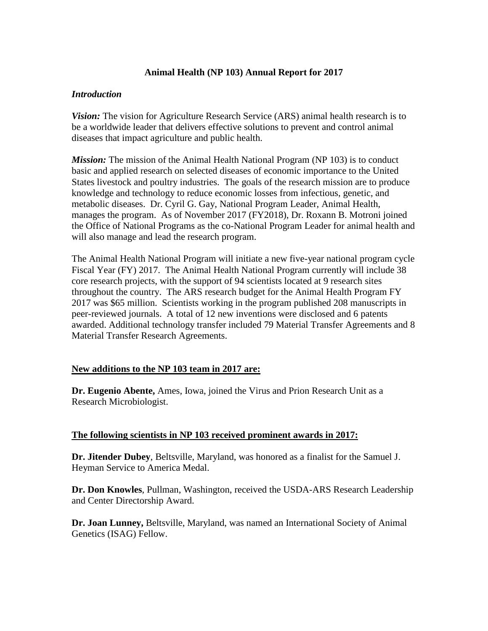# **Animal Health (NP 103) Annual Report for 2017**

# *Introduction*

*Vision:* The vision for Agriculture Research Service (ARS) animal health research is to be a worldwide leader that delivers effective solutions to prevent and control animal diseases that impact agriculture and public health.

*Mission:* The mission of the Animal Health National Program (NP 103) is to conduct basic and applied research on selected diseases of economic importance to the United States livestock and poultry industries. The goals of the research mission are to produce knowledge and technology to reduce economic losses from infectious, genetic, and metabolic diseases. Dr. Cyril G. Gay, National Program Leader, Animal Health, manages the program. As of November 2017 (FY2018), Dr. Roxann B. Motroni joined the Office of National Programs as the co-National Program Leader for animal health and will also manage and lead the research program.

The Animal Health National Program will initiate a new five-year national program cycle Fiscal Year (FY) 2017. The Animal Health National Program currently will include 38 core research projects, with the support of 94 scientists located at 9 research sites throughout the country. The ARS research budget for the Animal Health Program FY 2017 was \$65 million. Scientists working in the program published 208 manuscripts in peer-reviewed journals. A total of 12 new inventions were disclosed and 6 patents awarded. Additional technology transfer included 79 Material Transfer Agreements and 8 Material Transfer Research Agreements.

# **New additions to the NP 103 team in 2017 are:**

**Dr. Eugenio Abente,** Ames, Iowa, joined the Virus and Prion Research Unit as a Research Microbiologist.

# **The following scientists in NP 103 received prominent awards in 2017:**

**Dr. Jitender Dubey**, Beltsville, Maryland, was honored as a finalist for the Samuel J. Heyman Service to America Medal.

**Dr. Don Knowles**, Pullman, Washington, received the USDA-ARS Research Leadership and Center Directorship Award.

**Dr. Joan Lunney,** Beltsville, Maryland, was named an International Society of Animal Genetics (ISAG) Fellow.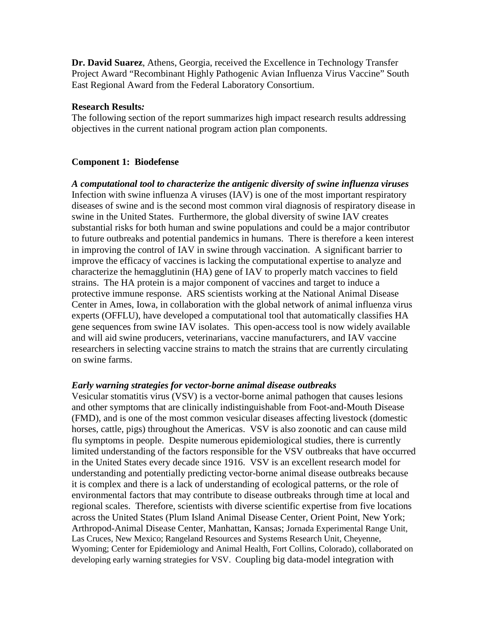**Dr. David Suarez**, Athens, Georgia, received the Excellence in Technology Transfer Project Award "Recombinant Highly Pathogenic Avian Influenza Virus Vaccine" South East Regional Award from the Federal Laboratory Consortium.

## **Research Results***:*

The following section of the report summarizes high impact research results addressing objectives in the current national program action plan components.

# **Component 1: Biodefense**

*A computational tool to characterize the antigenic diversity of swine influenza viruses* Infection with swine influenza A viruses (IAV) is one of the most important respiratory diseases of swine and is the second most common viral diagnosis of respiratory disease in swine in the United States. Furthermore, the global diversity of swine IAV creates substantial risks for both human and swine populations and could be a major contributor to future outbreaks and potential pandemics in humans. There is therefore a keen interest in improving the control of IAV in swine through vaccination. A significant barrier to improve the efficacy of vaccines is lacking the computational expertise to analyze and characterize the hemagglutinin (HA) gene of IAV to properly match vaccines to field strains. The HA protein is a major component of vaccines and target to induce a protective immune response. ARS scientists working at the National Animal Disease Center in Ames, Iowa, in collaboration with the global network of animal influenza virus experts (OFFLU), have developed a computational tool that automatically classifies HA gene sequences from swine IAV isolates. This open-access tool is now widely available and will aid swine producers, veterinarians, vaccine manufacturers, and IAV vaccine researchers in selecting vaccine strains to match the strains that are currently circulating on swine farms.

# *Early warning strategies for vector-borne animal disease outbreaks*

Vesicular stomatitis virus (VSV) is a vector-borne animal pathogen that causes lesions and other symptoms that are clinically indistinguishable from Foot-and-Mouth Disease (FMD), and is one of the most common vesicular diseases affecting livestock (domestic horses, cattle, pigs) throughout the Americas. VSV is also zoonotic and can cause mild flu symptoms in people. Despite numerous epidemiological studies, there is currently limited understanding of the factors responsible for the VSV outbreaks that have occurred in the United States every decade since 1916. VSV is an excellent research model for understanding and potentially predicting vector-borne animal disease outbreaks because it is complex and there is a lack of understanding of ecological patterns, or the role of environmental factors that may contribute to disease outbreaks through time at local and regional scales. Therefore, scientists with diverse scientific expertise from five locations across the United States (Plum Island Animal Disease Center, Orient Point, New York; Arthropod-Animal Disease Center, Manhattan, Kansas; Jornada Experimental Range Unit, Las Cruces, New Mexico; Rangeland Resources and Systems Research Unit, Cheyenne, Wyoming; Center for Epidemiology and Animal Health, Fort Collins, Colorado), collaborated on developing early warning strategies for VSV. Coupling big data-model integration with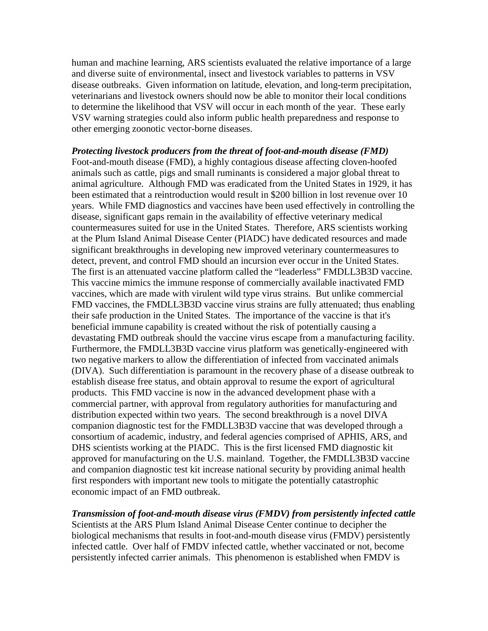human and machine learning, ARS scientists evaluated the relative importance of a large and diverse suite of environmental, insect and livestock variables to patterns in VSV disease outbreaks. Given information on latitude, elevation, and long-term precipitation, veterinarians and livestock owners should now be able to monitor their local conditions to determine the likelihood that VSV will occur in each month of the year. These early VSV warning strategies could also inform public health preparedness and response to other emerging zoonotic vector-borne diseases.

*Protecting livestock producers from the threat of foot-and-mouth disease (FMD)* Foot-and-mouth disease (FMD), a highly contagious disease affecting cloven-hoofed animals such as cattle, pigs and small ruminants is considered a major global threat to animal agriculture. Although FMD was eradicated from the United States in 1929, it has been estimated that a reintroduction would result in \$200 billion in lost revenue over 10 years. While FMD diagnostics and vaccines have been used effectively in controlling the disease, significant gaps remain in the availability of effective veterinary medical countermeasures suited for use in the United States. Therefore, ARS scientists working at the Plum Island Animal Disease Center (PIADC) have dedicated resources and made significant breakthroughs in developing new improved veterinary countermeasures to detect, prevent, and control FMD should an incursion ever occur in the United States. The first is an attenuated vaccine platform called the "leaderless" FMDLL3B3D vaccine. This vaccine mimics the immune response of commercially available inactivated FMD vaccines, which are made with virulent wild type virus strains. But unlike commercial FMD vaccines, the FMDLL3B3D vaccine virus strains are fully attenuated; thus enabling their safe production in the United States. The importance of the vaccine is that it's beneficial immune capability is created without the risk of potentially causing a devastating FMD outbreak should the vaccine virus escape from a manufacturing facility. Furthermore, the FMDLL3B3D vaccine virus platform was genetically-engineered with two negative markers to allow the differentiation of infected from vaccinated animals (DIVA). Such differentiation is paramount in the recovery phase of a disease outbreak to establish disease free status, and obtain approval to resume the export of agricultural products. This FMD vaccine is now in the advanced development phase with a commercial partner, with approval from regulatory authorities for manufacturing and distribution expected within two years. The second breakthrough is a novel DIVA companion diagnostic test for the FMDLL3B3D vaccine that was developed through a consortium of academic, industry, and federal agencies comprised of APHIS, ARS, and DHS scientists working at the PIADC. This is the first licensed FMD diagnostic kit approved for manufacturing on the U.S. mainland. Together, the FMDLL3B3D vaccine and companion diagnostic test kit increase national security by providing animal health first responders with important new tools to mitigate the potentially catastrophic economic impact of an FMD outbreak.

*Transmission of foot-and-mouth disease virus (FMDV) from persistently infected cattle*  Scientists at the ARS Plum Island Animal Disease Center continue to decipher the biological mechanisms that results in foot-and-mouth disease virus (FMDV) persistently infected cattle. Over half of FMDV infected cattle, whether vaccinated or not, become persistently infected carrier animals. This phenomenon is established when FMDV is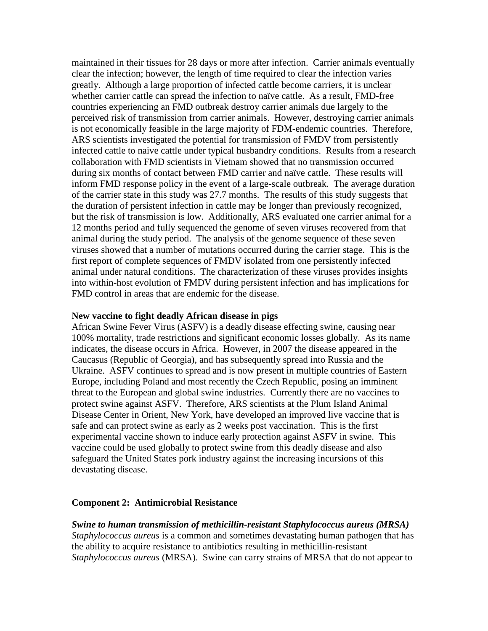maintained in their tissues for 28 days or more after infection. Carrier animals eventually clear the infection; however, the length of time required to clear the infection varies greatly. Although a large proportion of infected cattle become carriers, it is unclear whether carrier cattle can spread the infection to naïve cattle. As a result, FMD-free countries experiencing an FMD outbreak destroy carrier animals due largely to the perceived risk of transmission from carrier animals. However, destroying carrier animals is not economically feasible in the large majority of FDM-endemic countries. Therefore, ARS scientists investigated the potential for transmission of FMDV from persistently infected cattle to naive cattle under typical husbandry conditions. Results from a research collaboration with FMD scientists in Vietnam showed that no transmission occurred during six months of contact between FMD carrier and naïve cattle. These results will inform FMD response policy in the event of a large-scale outbreak. The average duration of the carrier state in this study was 27.7 months. The results of this study suggests that the duration of persistent infection in cattle may be longer than previously recognized, but the risk of transmission is low. Additionally, ARS evaluated one carrier animal for a 12 months period and fully sequenced the genome of seven viruses recovered from that animal during the study period. The analysis of the genome sequence of these seven viruses showed that a number of mutations occurred during the carrier stage. This is the first report of complete sequences of FMDV isolated from one persistently infected animal under natural conditions. The characterization of these viruses provides insights into within-host evolution of FMDV during persistent infection and has implications for FMD control in areas that are endemic for the disease.

### **New vaccine to fight deadly African disease in pigs**

African Swine Fever Virus (ASFV) is a deadly disease effecting swine, causing near 100% mortality, trade restrictions and significant economic losses globally. As its name indicates, the disease occurs in Africa. However, in 2007 the disease appeared in the Caucasus (Republic of Georgia), and has subsequently spread into Russia and the Ukraine. ASFV continues to spread and is now present in multiple countries of Eastern Europe, including Poland and most recently the Czech Republic, posing an imminent threat to the European and global swine industries. Currently there are no vaccines to protect swine against ASFV. Therefore, ARS scientists at the Plum Island Animal Disease Center in Orient, New York, have developed an improved live vaccine that is safe and can protect swine as early as 2 weeks post vaccination. This is the first experimental vaccine shown to induce early protection against ASFV in swine. This vaccine could be used globally to protect swine from this deadly disease and also safeguard the United States pork industry against the increasing incursions of this devastating disease.

## **Component 2: Antimicrobial Resistance**

*Swine to human transmission of methicillin-resistant Staphylococcus aureus (MRSA) Staphylococcus aureus* is a common and sometimes devastating human pathogen that has the ability to acquire resistance to antibiotics resulting in methicillin-resistant *Staphylococcus aureus* (MRSA). Swine can carry strains of MRSA that do not appear to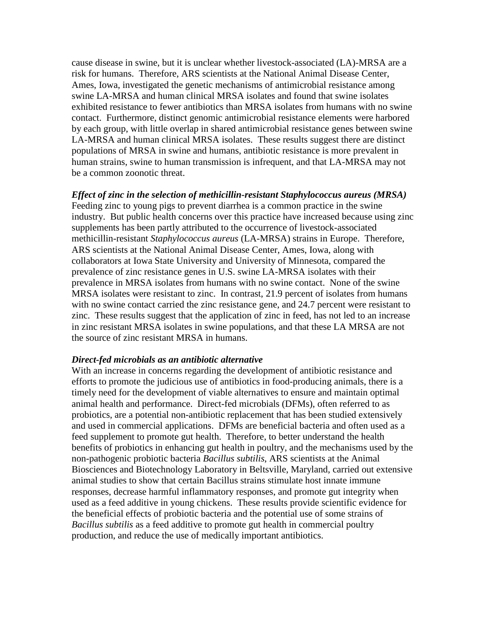cause disease in swine, but it is unclear whether livestock-associated (LA)-MRSA are a risk for humans. Therefore, ARS scientists at the National Animal Disease Center, Ames, Iowa, investigated the genetic mechanisms of antimicrobial resistance among swine LA-MRSA and human clinical MRSA isolates and found that swine isolates exhibited resistance to fewer antibiotics than MRSA isolates from humans with no swine contact. Furthermore, distinct genomic antimicrobial resistance elements were harbored by each group, with little overlap in shared antimicrobial resistance genes between swine LA-MRSA and human clinical MRSA isolates. These results suggest there are distinct populations of MRSA in swine and humans, antibiotic resistance is more prevalent in human strains, swine to human transmission is infrequent, and that LA-MRSA may not be a common zoonotic threat.

## *Effect of zinc in the selection of methicillin-resistant Staphylococcus aureus (MRSA)*

Feeding zinc to young pigs to prevent diarrhea is a common practice in the swine industry. But public health concerns over this practice have increased because using zinc supplements has been partly attributed to the occurrence of livestock-associated methicillin-resistant *Staphylococcus aureus* (LA-MRSA) strains in Europe. Therefore, ARS scientists at the National Animal Disease Center, Ames, Iowa, along with collaborators at Iowa State University and University of Minnesota, compared the prevalence of zinc resistance genes in U.S. swine LA-MRSA isolates with their prevalence in MRSA isolates from humans with no swine contact. None of the swine MRSA isolates were resistant to zinc. In contrast, 21.9 percent of isolates from humans with no swine contact carried the zinc resistance gene, and 24.7 percent were resistant to zinc. These results suggest that the application of zinc in feed, has not led to an increase in zinc resistant MRSA isolates in swine populations, and that these LA MRSA are not the source of zinc resistant MRSA in humans.

#### *Direct-fed microbials as an antibiotic alternative*

With an increase in concerns regarding the development of antibiotic resistance and efforts to promote the judicious use of antibiotics in food-producing animals, there is a timely need for the development of viable alternatives to ensure and maintain optimal animal health and performance. Direct-fed microbials (DFMs), often referred to as probiotics, are a potential non-antibiotic replacement that has been studied extensively and used in commercial applications. DFMs are beneficial bacteria and often used as a feed supplement to promote gut health. Therefore, to better understand the health benefits of probiotics in enhancing gut health in poultry, and the mechanisms used by the non-pathogenic probiotic bacteria *Bacillus subtilis*, ARS scientists at the Animal Biosciences and Biotechnology Laboratory in Beltsville, Maryland, carried out extensive animal studies to show that certain Bacillus strains stimulate host innate immune responses, decrease harmful inflammatory responses, and promote gut integrity when used as a feed additive in young chickens. These results provide scientific evidence for the beneficial effects of probiotic bacteria and the potential use of some strains of *Bacillus subtilis* as a feed additive to promote gut health in commercial poultry production, and reduce the use of medically important antibiotics.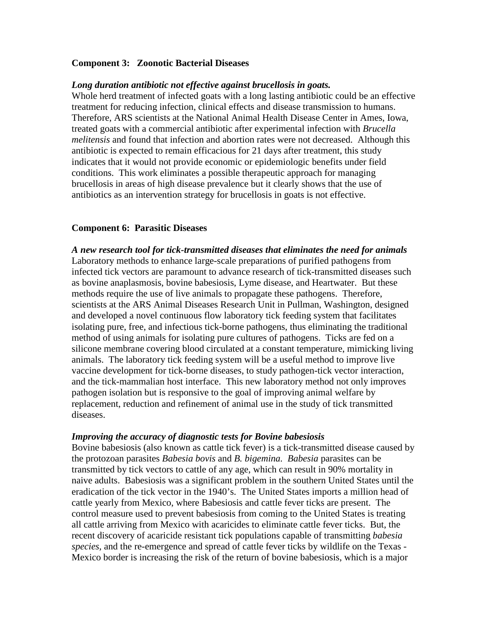# **Component 3: Zoonotic Bacterial Diseases**

## *Long duration antibiotic not effective against brucellosis in goats.*

Whole herd treatment of infected goats with a long lasting antibiotic could be an effective treatment for reducing infection, clinical effects and disease transmission to humans. Therefore, ARS scientists at the National Animal Health Disease Center in Ames, Iowa, treated goats with a commercial antibiotic after experimental infection with *Brucella melitensis* and found that infection and abortion rates were not decreased. Although this antibiotic is expected to remain efficacious for 21 days after treatment, this study indicates that it would not provide economic or epidemiologic benefits under field conditions. This work eliminates a possible therapeutic approach for managing brucellosis in areas of high disease prevalence but it clearly shows that the use of antibiotics as an intervention strategy for brucellosis in goats is not effective.

## **Component 6: Parasitic Diseases**

*A new research tool for tick-transmitted diseases that eliminates the need for animals*  Laboratory methods to enhance large-scale preparations of purified pathogens from infected tick vectors are paramount to advance research of tick-transmitted diseases such as bovine anaplasmosis, bovine babesiosis, Lyme disease, and Heartwater. But these methods require the use of live animals to propagate these pathogens. Therefore, scientists at the ARS Animal Diseases Research Unit in Pullman, Washington, designed and developed a novel continuous flow laboratory tick feeding system that facilitates isolating pure, free, and infectious tick-borne pathogens, thus eliminating the traditional method of using animals for isolating pure cultures of pathogens. Ticks are fed on a silicone membrane covering blood circulated at a constant temperature, mimicking living animals. The laboratory tick feeding system will be a useful method to improve live vaccine development for tick-borne diseases, to study pathogen-tick vector interaction, and the tick-mammalian host interface. This new laboratory method not only improves pathogen isolation but is responsive to the goal of improving animal welfare by replacement, reduction and refinement of animal use in the study of tick transmitted diseases.

## *Improving the accuracy of diagnostic tests for Bovine babesiosis*

Bovine babesiosis (also known as cattle tick fever) is a tick-transmitted disease caused by the protozoan parasites *Babesia bovis* and *B. bigemina. Babesia* parasites can be transmitted by tick vectors to cattle of any age, which can result in 90% mortality in naive adults. Babesiosis was a significant problem in the southern United States until the eradication of the tick vector in the 1940's. The United States imports a million head of cattle yearly from Mexico, where Babesiosis and cattle fever ticks are present. The control measure used to prevent babesiosis from coming to the United States is treating all cattle arriving from Mexico with acaricides to eliminate cattle fever ticks. But, the recent discovery of acaricide resistant tick populations capable of transmitting *babesia species,* and the re-emergence and spread of cattle fever ticks by wildlife on the Texas - Mexico border is increasing the risk of the return of bovine babesiosis, which is a major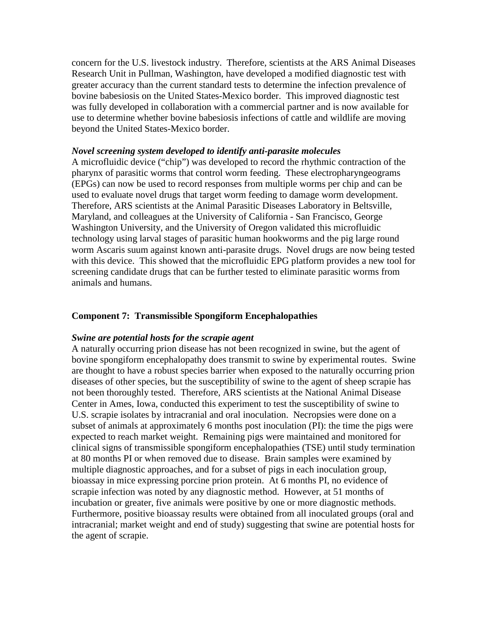concern for the U.S. livestock industry. Therefore, scientists at the ARS Animal Diseases Research Unit in Pullman, Washington, have developed a modified diagnostic test with greater accuracy than the current standard tests to determine the infection prevalence of bovine babesiosis on the United States-Mexico border. This improved diagnostic test was fully developed in collaboration with a commercial partner and is now available for use to determine whether bovine babesiosis infections of cattle and wildlife are moving beyond the United States-Mexico border.

### *Novel screening system developed to identify anti-parasite molecules*

A microfluidic device ("chip") was developed to record the rhythmic contraction of the pharynx of parasitic worms that control worm feeding. These electropharyngeograms (EPGs) can now be used to record responses from multiple worms per chip and can be used to evaluate novel drugs that target worm feeding to damage worm development. Therefore, ARS scientists at the Animal Parasitic Diseases Laboratory in Beltsville, Maryland, and colleagues at the University of California - San Francisco, George Washington University, and the University of Oregon validated this microfluidic technology using larval stages of parasitic human hookworms and the pig large round worm Ascaris suum against known anti-parasite drugs. Novel drugs are now being tested with this device. This showed that the microfluidic EPG platform provides a new tool for screening candidate drugs that can be further tested to eliminate parasitic worms from animals and humans.

## **Component 7: Transmissible Spongiform Encephalopathies**

#### *Swine are potential hosts for the scrapie agent*

A naturally occurring prion disease has not been recognized in swine, but the agent of bovine spongiform encephalopathy does transmit to swine by experimental routes. Swine are thought to have a robust species barrier when exposed to the naturally occurring prion diseases of other species, but the susceptibility of swine to the agent of sheep scrapie has not been thoroughly tested. Therefore, ARS scientists at the National Animal Disease Center in Ames, Iowa, conducted this experiment to test the susceptibility of swine to U.S. scrapie isolates by intracranial and oral inoculation. Necropsies were done on a subset of animals at approximately 6 months post inoculation (PI): the time the pigs were expected to reach market weight. Remaining pigs were maintained and monitored for clinical signs of transmissible spongiform encephalopathies (TSE) until study termination at 80 months PI or when removed due to disease. Brain samples were examined by multiple diagnostic approaches, and for a subset of pigs in each inoculation group, bioassay in mice expressing porcine prion protein. At 6 months PI, no evidence of scrapie infection was noted by any diagnostic method. However, at 51 months of incubation or greater, five animals were positive by one or more diagnostic methods. Furthermore, positive bioassay results were obtained from all inoculated groups (oral and intracranial; market weight and end of study) suggesting that swine are potential hosts for the agent of scrapie.